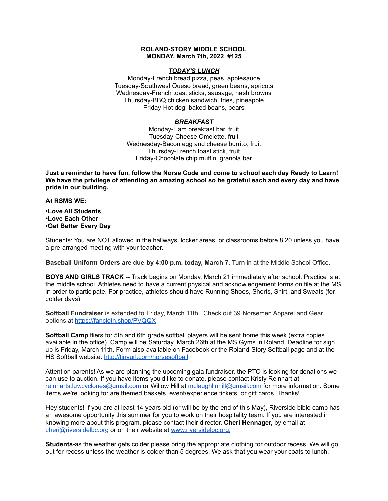## **ROLAND-STORY MIDDLE SCHOOL MONDAY, March 7th, 2022 #125**

## *TODAY'S LUNCH*

Monday-French bread pizza, peas, applesauce Tuesday-Southwest Queso bread, green beans, apricots Wednesday-French toast sticks, sausage, hash browns Thursday-BBQ chicken sandwich, fries, pineapple Friday-Hot dog, baked beans, pears

# *BREAKFAST*

Monday-Ham breakfast bar, fruit Tuesday-Cheese Omelette, fruit Wednesday-Bacon egg and cheese burrito, fruit Thursday-French toast stick, fruit Friday-Chocolate chip muffin, granola bar

Just a reminder to have fun, follow the Norse Code and come to school each day Ready to Learn! **We have the privilege of attending an amazing school so be grateful each and every day and have pride in our building.**

#### **At RSMS WE:**

**•Love All Students •Love Each Other •Get Better Every Day**

Students: You are NOT allowed in the hallways, locker areas, or classrooms before 8:20 unless you have a pre-arranged meeting with your teacher.

**Baseball Uniform Orders are due by 4:00 p.m. today, March 7.** Turn in at the Middle School Office.

**BOYS AND GIRLS TRACK** -- Track begins on Monday, March 21 immediately after school. Practice is at the middle school. Athletes need to have a current physical and acknowledgement forms on file at the MS in order to participate. For practice, athletes should have Running Shoes, Shorts, Shirt, and Sweats (for colder days).

**Softball Fundraiser** is extended to Friday, March 11th. Check out 39 Norsemen Apparel and Gear options at <https://fancloth.shop/PVQQX>

**Softball Camp** fliers for 5th and 6th grade softball players will be sent home this week (extra copies available in the office). Camp will be Saturday, March 26th at the MS Gyms in Roland. Deadline for sign up is Friday, March 11th. Form also available on Facebook or the Roland-Story Softball page and at the HS Softball website: <http://tinyurl.com/norsesoftball>

Attention parents! As we are planning the upcoming gala fundraiser, the PTO is looking for donations we can use to auction. If you have items you'd like to donate, please contact Kristy Reinhart at reinharts.luv.cyclones@gmail.com or Willow Hill at mclaughlinhill@gmail.com for more information. Some items we're looking for are themed baskets, event/experience tickets, or gift cards. Thanks!

Hey students! If you are at least 14 years old (or will be by the end of this May), Riverside bible camp has an awesome opportunity this summer for you to work on their hospitality team. If you are interested in knowing more about this program, please contact their director, **Cheri Hennager,** by email at cheri@riversidelbc.org or on their website at [www.riversidelbc.org.](http://www.riversidelbc.org/)

**Students-**as the weather gets colder please bring the appropriate clothing for outdoor recess. We will go out for recess unless the weather is colder than 5 degrees. We ask that you wear your coats to lunch.